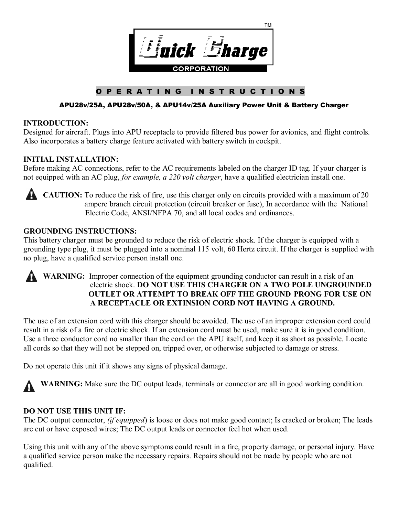

# **O P E R A T I N G I N S T R U C T I O N S**

### **APU28v/25A, APU28v/50A, & APU14v/25A Auxiliary Power Unit & Battery Charger**

#### **INTRODUCTION:**

Designed for aircraft. Plugs into APU receptacle to provide filtered bus power for avionics, and flight controls. Also incorporates a battery charge feature activated with battery switch in cockpit.

### **INITIAL INSTALLATION:**

Before making AC connections, refer to the AC requirements labeled on the charger ID tag. If your charger is not equipped with an AC plug, *for example, a 220 volt charger*, have a qualified electrician install one.



**CAUTION:** To reduce the risk of fire, use this charger only on circuits provided with a maximum of 20 ampere branch circuit protection (circuit breaker or fuse), In accordance with the National Electric Code, ANSI/NFPA 70, and all local codes and ordinances.

### **GROUNDING INSTRUCTIONS:**

This battery charger must be grounded to reduce the risk of electric shock. If the charger is equipped with a grounding type plug, it must be plugged into a nominal 115 volt, 60 Hertz circuit. If the charger is supplied with no plug, have a qualified service person install one.

### **WARNING:** Improper connection of the equipment grounding conductor can result in a risk of an electric shock. **DO NOT USE THIS CHARGER ON A TWO POLE UNGROUNDED OUTLET OR ATTEMPT TO BREAK OFF THE GROUND PRONG FOR USE ON A RECEPTACLE OR EXTINSION CORD NOT HAVING A GROUND.**

The use of an extension cord with this charger should be avoided. The use of an improper extension cord could result in a risk of a fire or electric shock. If an extension cord must be used, make sure it is in good condition. Use a three conductor cord no smaller than the cord on the APU itself, and keep it as short as possible. Locate all cords so that they will not be stepped on, tripped over, or otherwise subjected to damage or stress.

Do not operate this unit if it shows any signs of physical damage.

WARNING: Make sure the DC output leads, terminals or connector are all in good working condition.

### **DO NOT USE THIS UNIT IF:**

The DC output connector, *(if equipped*) is loose or does not make good contact; Is cracked or broken; The leads are cut or have exposed wires; The DC output leads or connector feel hot when used.

Using this unit with any of the above symptoms could result in a fire, property damage, or personal injury. Have a qualified service person make the necessary repairs. Repairs should not be made by people who are not qualified.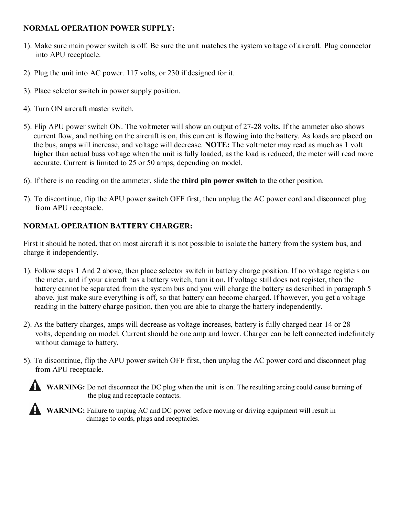### **NORMAL OPERATION POWER SUPPLY:**

- 1). Make sure main power switch is off. Be sure the unit matches the system voltage of aircraft. Plug connector into APU receptacle.
- 2). Plug the unit into AC power. 117 volts, or 230 if designed for it.
- 3). Place selector switch in power supply position.
- 4). Turn ON aircraft master switch.
- 5). Flip APU power switch ON. The voltmeter will show an output of 27-28 volts. If the ammeter also shows current flow, and nothing on the aircraft is on, this current is flowing into the battery. As loads are placed on the bus, amps will increase, and voltage will decrease. **NOTE:** The voltmeter may read as much as 1 volt higher than actual buss voltage when the unit is fully loaded, as the load is reduced, the meter will read more accurate. Current is limited to 25 or 50 amps, depending on model.
- 6). If there is no reading on the ammeter, slide the **third pin power switch** to the other position.
- 7). To discontinue, flip the APU power switch OFF first, then unplug the AC power cord and disconnect plug from APU receptacle.

## **NORMAL OPERATION BATTERY CHARGER:**

First it should be noted, that on most aircraft it is not possible to isolate the battery from the system bus, and charge it independently.

- 1). Follow steps 1 And 2 above, then place selector switch in battery charge position. If no voltage registers on the meter, and if your aircraft has a battery switch, turn it on. If voltage still does not register, then the battery cannot be separated from the system bus and you will charge the battery as described in paragraph 5 above, just make sure everything is off, so that battery can become charged. If however, you get a voltage reading in the battery charge position, then you are able to charge the battery independently.
- 2). As the battery charges, amps will decrease as voltage increases, battery is fully charged near 14 or 28 volts, depending on model. Current should be one amp and lower. Charger can be left connected indefinitely without damage to battery.
- 5). To discontinue, flip the APU power switch OFF first, then unplug the AC power cord and disconnect plug from APU receptacle.